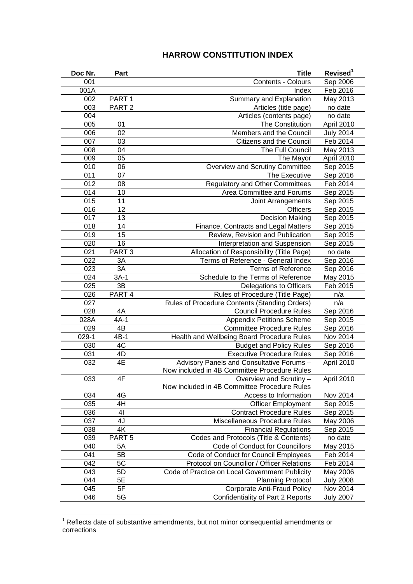## **HARROW CONSTITUTION INDEX**

| Doc Nr. | Part              | <b>Title</b>                                   | Revised <sup>1</sup> |
|---------|-------------------|------------------------------------------------|----------------------|
| 001     |                   | Contents - Colours                             | Sep 2006             |
| 001A    |                   | Index                                          | Feb 2016             |
| 002     | PART <sub>1</sub> | Summary and Explanation                        | May 2013             |
| 003     | PART <sub>2</sub> | Articles (title page)                          | no date              |
| 004     |                   | Articles (contents page)                       | no date              |
| 005     | 01                | The Constitution                               | April 2010           |
| 006     | 02                | Members and the Council                        | <b>July 2014</b>     |
| 007     | 03                | Citizens and the Council                       | Feb 2014             |
| 008     | 04                | The Full Council                               | May 2013             |
| 009     | 05                | The Mayor                                      | April 2010           |
| 010     | 06                | Overview and Scrutiny Committee                | Sep 2015             |
| 011     | 07                | The Executive                                  | Sep 2016             |
| 012     | 08                | <b>Regulatory and Other Committees</b>         | Feb 2014             |
| 014     | 10                | Area Committee and Forums                      | Sep 2015             |
| 015     | 11                | Joint Arrangements                             | Sep 2015             |
| 016     | 12                | <b>Officers</b>                                | Sep 2015             |
| 017     | 13                | <b>Decision Making</b>                         | Sep 2015             |
| 018     | 14                | Finance, Contracts and Legal Matters           | Sep 2015             |
| 019     | 15                | Review, Revision and Publication               | Sep 2015             |
| 020     | 16                | Interpretation and Suspension                  | Sep 2015             |
| 021     | PART <sub>3</sub> | Allocation of Responsibility (Title Page)      | no date              |
| 022     | 3A                | Terms of Reference - General Index             | Sep 2016             |
| 023     | 3A                | <b>Terms of Reference</b>                      | Sep 2016             |
| 024     | $3A-1$            | Schedule to the Terms of Reference             | May 2015             |
| 025     | 3B                | Delegations to Officers                        | Feb 2015             |
| 026     | PART 4            | Rules of Procedure (Title Page)                | n/a                  |
| 027     |                   | Rules of Procedure Contents (Standing Orders)  | n/a                  |
| 028     | 4A                | <b>Council Procedure Rules</b>                 | Sep 2016             |
| 028A    | $4A-1$            | <b>Appendix Petitions Scheme</b>               | Sep 2015             |
| 029     | $4\overline{B}$   | <b>Committee Procedure Rules</b>               | Sep 2016             |
| $029-1$ | $4B-1$            | Health and Wellbeing Board Procedure Rules     | Nov 2014             |
| 030     | 4C                | <b>Budget and Policy Rules</b>                 | Sep 2016             |
| 031     | 4D                | <b>Executive Procedure Rules</b>               | Sep 2016             |
| 032     | 4E                | Advisory Panels and Consultative Forums -      | April 2010           |
|         |                   | Now included in 4B Committee Procedure Rules   |                      |
| 033     | 4F                | Overview and Scrutiny -                        | April 2010           |
|         |                   | Now included in 4B Committee Procedure Rules   |                      |
| 034     | 4G                | Access to Information                          | Nov 2014             |
| 035     | 4H                | <b>Officer Employment</b>                      | Sep 2015             |
| 036     | 41                | <b>Contract Procedure Rules</b>                | Sep 2015             |
| 037     | 4J                | Miscellaneous Procedure Rules                  | May 2006             |
| 038     | 4K                | <b>Financial Regulations</b>                   | Sep 2015             |
| 039     | PART <sub>5</sub> | Codes and Protocols (Title & Contents)         | no date              |
| 040     | 5A                | Code of Conduct for Councillors                | May 2015             |
| 041     | 5B                | Code of Conduct for Council Employees          | Feb 2014             |
| 042     | 5C                | Protocol on Councillor / Officer Relations     | Feb 2014             |
| 043     | 5D                | Code of Practice on Local Government Publicity | May 2006             |
| 044     | 5E                | <b>Planning Protocol</b>                       | <b>July 2008</b>     |
| 045     | 5F                | <b>Corporate Anti-Fraud Policy</b>             | Nov 2014             |
| 046     | 5G                | Confidentiality of Part 2 Reports              | <b>July 2007</b>     |

 Reflects date of substantive amendments, but not minor consequential amendments or corrections

<u>.</u>